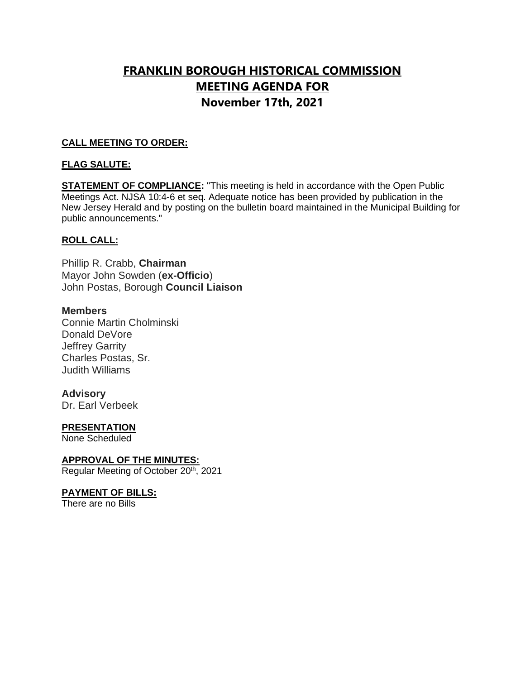# **FRANKLIN BOROUGH HISTORICAL COMMISSION MEETING AGENDA FOR November 17th, 2021**

## **CALL MEETING TO ORDER:**

## **FLAG SALUTE:**

**STATEMENT OF COMPLIANCE:** "This meeting is held in accordance with the Open Public Meetings Act. NJSA 10:4-6 et seq. Adequate notice has been provided by publication in the New Jersey Herald and by posting on the bulletin board maintained in the Municipal Building for public announcements."

## **ROLL CALL:**

Phillip R. Crabb, **Chairman** Mayor John Sowden (**ex-Officio**) John Postas, Borough **Council Liaison**

### **Members**

Connie Martin Cholminski Donald DeVore Jeffrey Garrity Charles Postas, Sr. Judith Williams

### **Advisory**

Dr. Earl Verbeek

### **PRESENTATION**

None Scheduled

### **APPROVAL OF THE MINUTES:**

Regular Meeting of October 20<sup>th</sup>, 2021

### **PAYMENT OF BILLS:**

There are no Bills